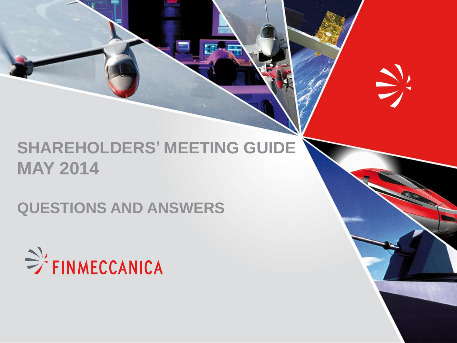# **SHAREHOLDERS' MEETING GUIDE MAY 2014**

 $\sum_{i=1}^{n}$ 

**QUESTIONS AND ANSWERS**

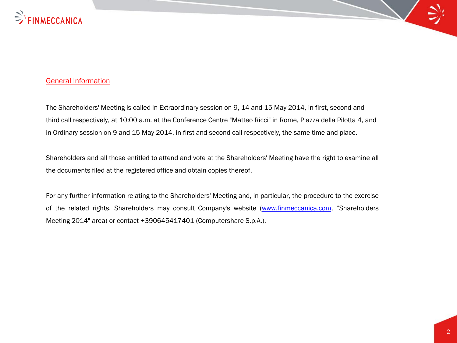

#### General Information

The Shareholders' Meeting is called in Extraordinary session on 9, 14 and 15 May 2014, in first, second and third call respectively, at 10:00 a.m. at the Conference Centre "Matteo Ricci" in Rome, Piazza della Pilotta 4, and in Ordinary session on 9 and 15 May 2014, in first and second call respectively, the same time and place.

Shareholders and all those entitled to attend and vote at the Shareholders' Meeting have the right to examine all the documents filed at the registered office and obtain copies thereof.

For any further information relating to the Shareholders' Meeting and, in particular, the procedure to the exercise of the related rights, Shareholders may consult Company's website ([www.finmeccanica.com,](http://www.finmeccanica.com/) "Shareholders Meeting 2014" area) or contact +390645417401 (Computershare S.p.A.).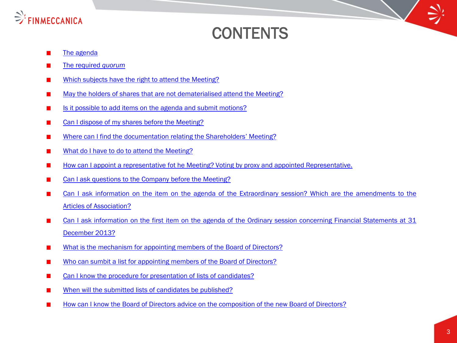

# **CONTENTS**

- [The](#page-4-0) [agenda](#page-4-0)
- [The](#page-4-0) [required](#page-4-0) *[quorum](#page-4-0)*
- [Which](#page-5-0) [subjects](#page-5-0) [have](#page-5-0) [the](#page-5-0) [right](#page-5-0) [to](#page-5-0) [attend](#page-5-0) [the](#page-5-0) [Meeting?](#page-5-0)
- [May](#page-5-0) [the](#page-5-0) [holders](#page-5-0) [of](#page-5-0) [shares](#page-5-0) [that](#page-5-0) [are](#page-5-0) [not](#page-5-0) [dematerialised](#page-5-0) [attend](#page-5-0) [the](#page-5-0) [Meeting?](#page-5-0)
- [Is](#page-6-0) [it](#page-6-0) [possible](#page-6-0) [to](#page-6-0) [add](#page-6-0) [items](#page-6-0) [on](#page-6-0) [the](#page-6-0) [agenda](#page-6-0) [and](#page-6-0) [submit](#page-6-0) [motions?](#page-6-0)
- [Can](#page-7-0) [I](#page-7-0) [dispose](#page-7-0) [of](#page-7-0) [my](#page-7-0) [shares](#page-7-0) [before](#page-7-0) [the](#page-7-0) [Meeting?](#page-7-0)
- [Where](#page-7-0) [can](#page-7-0) [I](#page-7-0) [find](#page-7-0) [the](#page-7-0) [documentation](#page-7-0) [relating](#page-7-0) [the](#page-7-0) [Shareholders](#page-7-0)['](#page-7-0) [Meeting?](#page-7-0)
- [What](#page-8-0) [do](#page-8-0) [I](#page-8-0) [have](#page-8-0) [to](#page-8-0) [do](#page-8-0) [to](#page-8-0) [attend](#page-8-0) [the](#page-8-0) [Meeting?](#page-8-0)
- [How](#page-9-0) [can](#page-9-0) [I](#page-9-0) [appoint](#page-9-0) [a](#page-9-0) [representative](#page-9-0) [fot](#page-9-0) [he](#page-9-0) [Meeting?](#page-9-0) [Voting](#page-9-0) [by](#page-9-0) [proxy](#page-9-0) [and](#page-9-0) [appointed](#page-9-0) [Representative.](#page-9-0)
- [Can](#page-10-0) [I](#page-10-0) [ask](#page-10-0) [questions](#page-10-0) [to](#page-10-0) [the](#page-10-0) [Company](#page-10-0) [before](#page-10-0) [the](#page-10-0) [Meeting?](#page-10-0)
- [Can](#page-11-0) [I](#page-11-0) [ask](#page-11-0) [information](#page-11-0) [on](#page-11-0) [the](#page-11-0) [item](#page-11-0) [on](#page-11-0) [the](#page-11-0) [agenda](#page-11-0) [of](#page-11-0) [the](#page-11-0) [Extraordinary](#page-11-0) [session?](#page-11-0) [Which](#page-11-0) [are](#page-11-0) [the](#page-11-0) [amendments](#page-11-0) [to](#page-11-0) [the](#page-11-0) [Articles](#page-11-0) [of](#page-11-0) [Association?](#page-11-0)
- [Can](#page-12-0) [I](#page-12-0) [ask](#page-12-0) [information](#page-12-0) [on](#page-12-0) [the](#page-12-0) [first](#page-12-0) [item](#page-12-0) [on](#page-12-0) [the](#page-12-0) [agenda](#page-12-0) [of](#page-12-0) [the](#page-12-0) [Ordinary](#page-12-0) [session](#page-12-0) [concerning](#page-12-0) [Financial](#page-12-0) [Statements](#page-12-0) [at](#page-12-0) [31](#page-12-0) [December](#page-12-0) [2013?](#page-12-0)
- [What](#page-13-0) [is](#page-13-0) [the](#page-13-0) [mechanism](#page-13-0) [for](#page-13-0) [appointing](#page-13-0) [members](#page-13-0) [of](#page-13-0) [the](#page-13-0) [Board](#page-13-0) [of](#page-13-0) [Directors?](#page-13-0)  $\mathbf{r}$
- [Who](#page-14-0) [can](#page-14-0) [sumbit](#page-14-0) [a](#page-14-0) [list](#page-14-0) [for](#page-14-0) [appointing](#page-14-0) [members](#page-14-0) [of](#page-14-0) [the](#page-14-0) [Board](#page-14-0) [of](#page-14-0) [Directors?](#page-14-0)
- [Can](#page-15-0) [I](#page-15-0) [know](#page-15-0) [the](#page-15-0) [procedure](#page-15-0) [for](#page-15-0) [presentation](#page-15-0) [of](#page-15-0) [lists](#page-15-0) [of](#page-15-0) [candidates?](#page-15-0)
- [When](#page-15-0) [will](#page-15-0) [the](#page-15-0) [submitted](#page-15-0) [lists](#page-15-0) [of](#page-15-0) [candidates](#page-15-0) [be](#page-15-0) [published?](#page-15-0)
- <span id="page-2-0"></span>[How](#page-16-0) [can](#page-16-0) [I](#page-16-0) [know](#page-16-0) [the](#page-16-0) [Board](#page-16-0) [of](#page-16-0) [Directors](#page-16-0) [advice](#page-16-0) [on](#page-16-0) [the](#page-16-0) [composition](#page-16-0) [of](#page-16-0) [the](#page-16-0) [new](#page-16-0) [Board](#page-16-0) [of](#page-16-0) [Directors?](#page-16-0)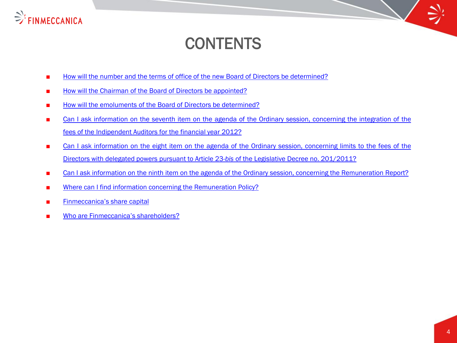

# **CONTENTS**

- [How](#page-17-0) [will](#page-17-0) [the](#page-17-0) [number](#page-17-0) [and](#page-17-0) the [terms](#page-17-0) [of](#page-17-0) [office](#page-17-0) of the [new](#page-17-0) [Board](#page-17-0) of [Directors](#page-17-0) [be](#page-17-0) [determined?](#page-17-0)
- [How](#page-18-0) [will](#page-18-0) [the](#page-18-0) [Chairman](#page-18-0) [of](#page-18-0) the [Board](#page-18-0) of [Directors](#page-18-0) [be](#page-18-0) [appointed?](#page-18-0)
- [How](#page-19-0) [will](#page-19-0) [the](#page-19-0) [emoluments](#page-19-0) [of](#page-19-0) the [Board](#page-19-0) of [Directors](#page-19-0) [be](#page-19-0) [determined?](#page-19-0)
- [Can](#page-20-0) [I](#page-20-0) [ask](#page-20-0) [information](#page-20-0) [on](#page-20-0) [the](#page-20-0) [seventh](#page-20-0) [item](#page-20-0) on the [agenda](#page-20-0) [of](#page-20-0) the [Ordinary](#page-20-0) [session,](#page-20-0) [concerning](#page-20-0) the [integration](#page-20-0) of the [fees](#page-20-0) [of](#page-20-0) [the](#page-20-0) [Indipendent](#page-20-0) [Auditors](#page-20-0) [for](#page-20-0) [the](#page-20-0) [financial](#page-20-0) [year](#page-20-0) [2012?](#page-20-0)
- [Can](#page-21-0) [I](#page-21-0) [ask](#page-21-0) [information](#page-21-0) [on](#page-21-0) [the](#page-21-0) [eight](#page-21-0) [item](#page-21-0) on the [agenda](#page-21-0) [of](#page-21-0) the [Ordinary](#page-21-0) [session,](#page-21-0) [concerning](#page-21-0) [limits](#page-21-0) [to](#page-21-0) the [fees](#page-21-0) of the [Directors](#page-21-0) [with](#page-21-0) [delegated](#page-21-0) [powers](#page-21-0) [pursuant](#page-21-0) [to](#page-21-0) [Article](#page-21-0) [23-](#page-21-0)*[bis](#page-21-0)* [of](#page-21-0) [the](#page-21-0) [Legislative](#page-21-0) [Decree](#page-21-0) [no.](#page-21-0) [201/2011?](#page-21-0)
- [Can](#page-22-0) [I](#page-22-0) [ask](#page-22-0) [information](#page-22-0) [on](#page-22-0) [the](#page-22-0) [ninth](#page-22-0) [item](#page-22-0) on the [agenda](#page-22-0) [of](#page-22-0) the [Ordinary](#page-22-0) [session,](#page-22-0) [concerning](#page-22-0) the [Remuneration](#page-22-0) [Report?](#page-22-0)
- [Where](#page-22-0) [can](#page-22-0) [I](#page-22-0) [find](#page-22-0) [information](#page-22-0) [concerning](#page-22-0) [the](#page-22-0) [Remuneration](#page-22-0) [Policy?](#page-22-0)
- [Finmeccanica's](#page-23-0) [share](#page-23-0) [capital](#page-23-0)
- [Who](#page-23-0) [are](#page-23-0) [Finmeccanica's](#page-23-0) [shareholders?](#page-23-0)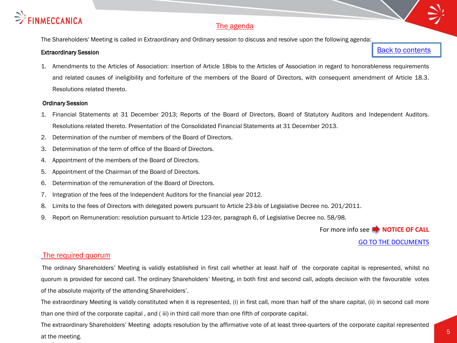

#### The agenda

The Shareholders' Meeting is called in Extraordinary and Ordinary session to discuss and resolve upon the following agenda:

#### Extraordinary Session

[Back to contents](#page-2-0)

1. Amendments to the Articles of Association: insertion of Article 18bis to the Articles of Association in regard to honorableness requirements and related causes of ineligibility and forfeiture of the members of the Board of Directors, with consequent amendment of Article 18.3. Resolutions related thereto.

#### Ordinary Session

- 1. Financial Statements at 31 December 2013; Reports of the Board of Directors, Board of Statutory Auditors and Independent Auditors. Resolutions related thereto. Presentation of the Consolidated Financial Statements at 31 December 2013.
- 2. Determination of the number of members of the Board of Directors.
- 3. Determination of the term of office of the Board of Directors.
- 4. Appointment of the members of the Board of Directors.
- 5. Appointment of the Chairman of the Board of Directors.
- 6. Determination of the remuneration of the Board of Directors.
- 7. Integration of the fees of the Independent Auditors for the financial year 2012.
- 8. Limits to the fees of Directors with delegated powers pursuant to Article 23-*bis* of Legislative Decree no. 201/2011.
- 9. Report on Remuneration: resolution pursuant to Article 123-*ter,* paragraph 6, of Legislative Decree no. 58/98.

For more info see **NOTICE OF CALL** 

[GO TO THE DOCUMENTS](http://www.finmeccanica.com/en/governance-finmeccanica-1/assemblea-azionisti-1/assemblea-2014-meeting?WT.ac=Shareholders Meeting 2014)

#### The required quorum

The ordinary Shareholders' Meeting is validly established in first call whether at least half of the corporate capital is represented, whilst no quorum is provided for second call. The ordinary Shareholders' Meeting, in both first and second call, adopts decision with the favourable votes of the absolute majority of the attending Shareholders'.

The extraordinary Meeting is validly constituted when it is represented, (i) in first call, more than half of the share capital, (ii) in second call more than one third of the corporate capital , and ( iii) in third call more than one fifth of corporate capital.

<span id="page-4-0"></span>The extraordinary Shareholders' Meeting adopts resolution by the affirmative vote of at least three-quarters of the corporate capital represented at the meeting.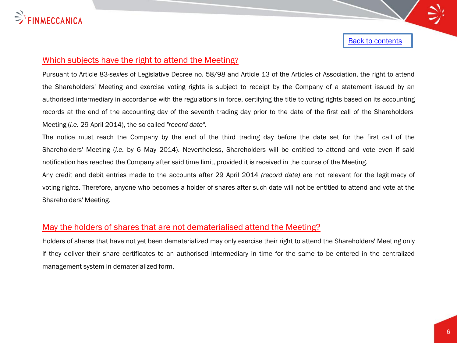

## Which subjects have the right to attend the Meeting?

Pursuant to Article 83-*sexies* of Legislative Decree no. 58/98 and Article 13 of the Articles of Association, the right to attend the Shareholders' Meeting and exercise voting rights is subject to receipt by the Company of a statement issued by an authorised intermediary in accordance with the regulations in force, certifying the title to voting rights based on its accounting records at the end of the accounting day of the seventh trading day prior to the date of the first call of the Shareholders' Meeting (*i.e.* 29 April 2014), the so-called *"record date".*

The notice must reach the Company by the end of the third trading day before the date set for the first call of the Shareholders' Meeting (*i.e.* by 6 May 2014). Nevertheless, Shareholders will be entitled to attend and vote even if said notification has reached the Company after said time limit, provided it is received in the course of the Meeting.

Any credit and debit entries made to the accounts after 29 April 2014 *(record date)* are not relevant for the legitimacy of voting rights. Therefore, anyone who becomes a holder of shares after such date will not be entitled to attend and vote at the Shareholders' Meeting.

#### May the holders of shares that are not dematerialised attend the Meeting?

<span id="page-5-0"></span>Holders of shares that have not yet been dematerialized may only exercise their right to attend the Shareholders' Meeting only if they deliver their share certificates to an authorised intermediary in time for the same to be entered in the centralized management system in dematerialized form.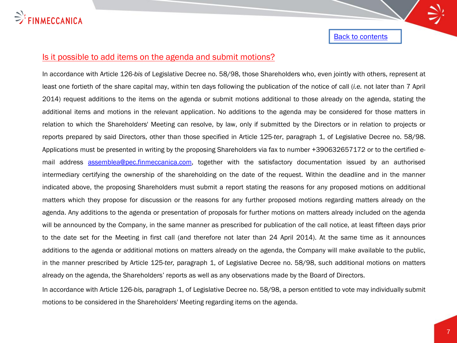

#### Is it possible to add items on the agenda and submit motions?

In accordance with Article 126-*bis* of Legislative Decree no. 58/98, those Shareholders who, even jointly with others, represent at least one fortieth of the share capital may, within ten days following the publication of the notice of call (*i.e.* not later than 7 April 2014) request additions to the items on the agenda or submit motions additional to those already on the agenda, stating the additional items and motions in the relevant application. No additions to the agenda may be considered for those matters in relation to which the Shareholders' Meeting can resolve, by law, only if submitted by the Directors or in relation to projects or reports prepared by said Directors, other than those specified in Article 125-*ter*, paragraph 1, of Legislative Decree no. 58/98. Applications must be presented in writing by the proposing Shareholders via fax to number +390632657172 or to the certified email address [assemblea@pec.finmeccanica.com,](mailto:assemblea@pec.finmeccanica.com) together with the satisfactory documentation issued by an authorised intermediary certifying the ownership of the shareholding on the date of the request. Within the deadline and in the manner indicated above, the proposing Shareholders must submit a report stating the reasons for any proposed motions on additional matters which they propose for discussion or the reasons for any further proposed motions regarding matters already on the agenda. Any additions to the agenda or presentation of proposals for further motions on matters already included on the agenda will be announced by the Company, in the same manner as prescribed for publication of the call notice, at least fifteen days prior to the date set for the Meeting in first call (and therefore not later than 24 April 2014). At the same time as it announces additions to the agenda or additional motions on matters already on the agenda, the Company will make available to the public, in the manner prescribed by Article 125-*ter,* paragraph 1, of Legislative Decree no. 58/98, such additional motions on matters already on the agenda, the Shareholders' reports as well as any observations made by the Board of Directors.

<span id="page-6-0"></span>In accordance with Article 126-*bis,* paragraph 1, of Legislative Decree no. 58/98, a person entitled to vote may individually submit motions to be considered in the Shareholders' Meeting regarding items on the agenda.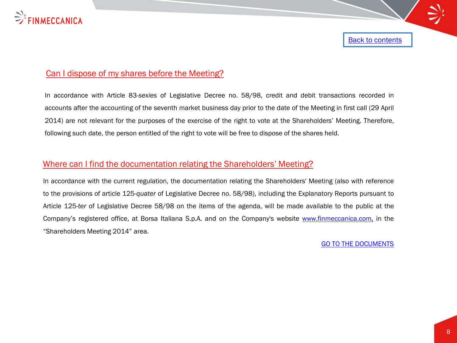

# Can I dispose of my shares before the Meeting?

In accordance with Article 83-*sexies* of Legislative Decree no. 58/98, credit and debit transactions recorded in accounts after the accounting of the seventh market business day prior to the date of the Meeting in first call (29 April 2014) are not relevant for the purposes of the exercise of the right to vote at the Shareholders' Meeting. Therefore, following such date, the person entitled of the right to vote will be free to dispose of the shares held.

### Where can I find the documentation relating the Shareholders' Meeting?

<span id="page-7-0"></span>In accordance with the current regulation, the documentation relating the Shareholders' Meeting (also with reference to the provisions of article 125-*quater* of Legislative Decree no. 58/98), including the Explanatory Reports pursuant to Article 125-*ter* of Legislative Decree 58/98 on the items of the agenda, will be made available to the public at the Company's registered office, at Borsa Italiana S.p.A. and on the Company's website [www.finmeccanica.com,](http://www.finmeccanica.com/) in the "Shareholders Meeting 2014" area.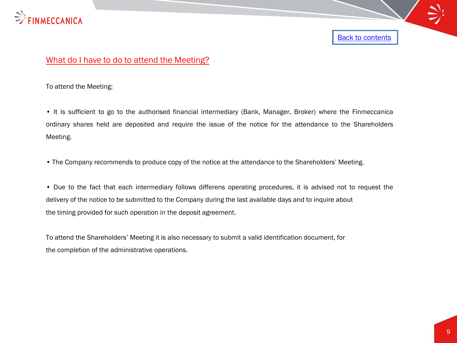

# What do I have to do to attend the Meeting?

To attend the Meeting:

• It is sufficient to go to the authorised financial intermediary (Bank, Manager, Broker) where the Finmeccanica ordinary shares held are deposited and require the issue of the notice for the attendance to the Shareholders Meeting.

• The Company recommends to produce copy of the notice at the attendance to the Shareholders' Meeting.

• Due to the fact that each intermediary follows differens operating procedures, it is advised not to request the delivery of the notice to be submitted to the Company during the last available days and to inquire about the timing provided for such operation in the deposit agreement.

<span id="page-8-0"></span>To attend the Shareholders' Meeting it is also necessary to submit a valid identification document, for the completion of the administrative operations.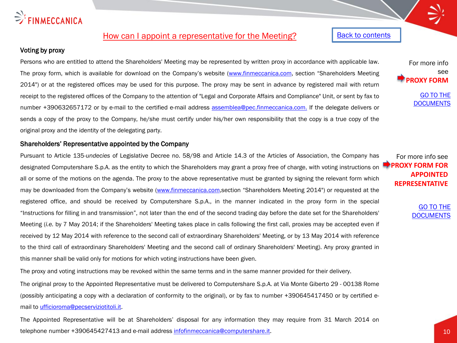# $\Rightarrow$  FINMECCANICA

# How can I appoint a representative for the Meeting?

#### Voting by proxy

Persons who are entitled to attend the Shareholders' Meeting may be represented by written proxy in accordance with applicable law. The proxy form, which is available for download on the Company's website [\(www.finmeccanica.com,](http://www.finmeccanica.com/) section "Shareholders Meeting 2014") or at the registered offices may be used for this purpose. The proxy may be sent in advance by registered mail with return receipt to the registered offices of the Company to the attention of "Legal and Corporate Affairs and Compliance" Unit, or sent by fax to number +390632657172 or by e-mail to the certified e-mail address [assemblea@pec.finmeccanica.com.](mailto:assemblea@pec.finmeccanica.com) If the delegate delivers or sends a copy of the proxy to the Company, he/she must certify under his/her own responsibility that the copy is a true copy of the original proxy and the identity of the delegating party.

Shareholders' Representative appointed by the Company

Pursuant to Article 135-*undecies* of Legislative Decree no. 58/98 and Article 14.3 of the Articles of Association, the Company has designated Computershare S.p.A. as the entity to which the Shareholders may grant a proxy free of charge, with voting instructions on all or some of the motions on the agenda. The proxy to the above representative must be granted by signing the relevant form which may be downloaded from the Company's website [\(www.finmeccanica.com](http://www.finmeccanica.com/),section "Shareholders Meeting 2014") or requested at the registered office, and should be received by Computershare S.p.A., in the manner indicated in the proxy form in the special "Instructions for filling in and transmission", not later than the end of the second trading day before the date set for the Shareholders' Meeting (*i.e.* by 7 May 2014; if the Shareholders' Meeting takes place in calls following the first call, proxies may be accepted even if received by 12 May 2014 with reference to the second call of extraordinary Shareholders' Meeting, or by 13 May 2014 with reference to the third call of extraordinary Shareholders' Meeting and the second call of ordinary Shareholders' Meeting). Any proxy granted in this manner shall be valid only for motions for which voting instructions have been given.

The proxy and voting instructions may be revoked within the same terms and in the same manner provided for their delivery.

The original proxy to the Appointed Representative must be delivered to Computershare S.p.A. at Via Monte Giberto 29 - 00138 Rome (possibly anticipating a copy with a declaration of conformity to the original), or by fax to number +390645417450 or by certified email to *ufficioroma@pecserviziotitoli.it*.

<span id="page-9-0"></span>The Appointed Representative will be at Shareholders' disposal for any information they may require from 31 March 2014 on telephone number +390645427413 and e-mail address [infofinmeccanica@computershare.it](mailto:infofinmeccanica@computershare.it).

#### [Back to contents](#page-2-0)

see **PROXY FORM**

For more info

[GO TO THE](http://www.finmeccanica.com/en/governance-finmeccanica-1/assemblea-azionisti-1/assemblea-2014-meeting?WT.ac=Shareholders Meeting 2014)  **[DOCUMENTS](http://www.finmeccanica.com/en/governance-finmeccanica-1/assemblea-azionisti-1/assemblea-2014-meeting?WT.ac=Shareholders Meeting 2014)** 

For more info see **PROXY FORM FOR APPOINTED REPRESENTATIVE**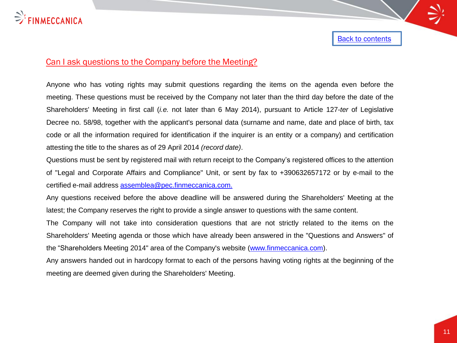

## Can I ask questions to the Company before the Meeting?

Anyone who has voting rights may submit questions regarding the items on the agenda even before the meeting. These questions must be received by the Company not later than the third day before the date of the Shareholders' Meeting in first call (*i.e.* not later than 6 May 2014), pursuant to Article 127-*ter* of Legislative Decree no. 58/98, together with the applicant's personal data (surname and name, date and place of birth, tax code or all the information required for identification if the inquirer is an entity or a company) and certification attesting the title to the shares as of 29 April 2014 *(record date)*.

Questions must be sent by registered mail with return receipt to the Company's registered offices to the attention of "Legal and Corporate Affairs and Compliance" Unit, or sent by fax to +390632657172 or by e-mail to the certified e-mail address [assemblea@pec.finmeccanica.com.](mailto:assemblea@pec.finmeccanica.com)

Any questions received before the above deadline will be answered during the Shareholders' Meeting at the latest; the Company reserves the right to provide a single answer to questions with the same content.

The Company will not take into consideration questions that are not strictly related to the items on the Shareholders' Meeting agenda or those which have already been answered in the "Questions and Answers" of the "Shareholders Meeting 2014" area of the Company's website ([www.finmeccanica.com\)](http://www.finmeccanica.com/).

<span id="page-10-0"></span>Any answers handed out in hardcopy format to each of the persons having voting rights at the beginning of the meeting are deemed given during the Shareholders' Meeting.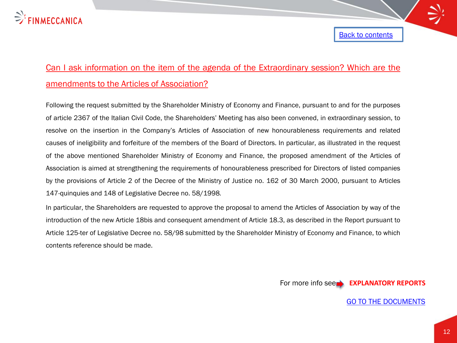

# Can I ask information on the item of the agenda of the Extraordinary session? Which are the amendments to the Articles of Association?

Following the request submitted by the Shareholder Ministry of Economy and Finance, pursuant to and for the purposes of article 2367 of the Italian Civil Code, the Shareholders' Meeting has also been convened, in extraordinary session, to resolve on the insertion in the Company's Articles of Associationof new honourableness requirements and related causes of ineligibility and forfeiture of the members of the Board of Directors. In particular, as illustrated in the request of the above mentioned Shareholder Ministry of Economy and Finance, the proposed amendment of the Articles of Association is aimed at strengthening the requirements of honourableness prescribed for Directors of listed companies by the provisions of Article 2 of the Decree of the Ministry of Justice no. 162 of 30 March 2000, pursuant to Articles 147-quinquies and 148 of Legislative Decree no. 58/1998*.*

<span id="page-11-0"></span>In particular, the Shareholders are requested to approve the proposal to amend the Articles of Association by way of the introduction of the new Article 18bis and consequent amendment of Article 18.3, as described in the Report pursuant to Article 125-ter of Legislative Decree no. 58/98 submitted by the Shareholder Ministry of Economy and Finance, to which contents reference should be made.

For more info see **EXPLANATORY REPORT[S](http://www.finmeccanica.it/Corporate/IT/Corporate/Investor_Relations/Assemblea_Azionisti/index.sdo)**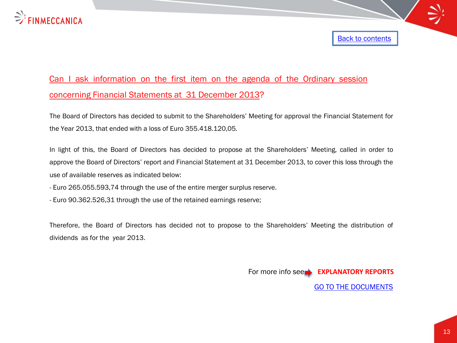

# Can I ask information on the first item on the agenda of the Ordinary session concerning Financial Statements at 31 December 2013?

The Board of Directors has decided to submit to the Shareholders' Meeting for approval the Financial Statement for the Year 2013, that ended with a loss of Euro 355.418.120,05*.*

In light of this, the Board of Directors has decided to propose at the Shareholders' Meeting, called in order to approve the Board of Directors' report and Financial Statement at 31 December 2013, to cover this loss through the use of available reserves as indicated below:

- Euro 265.055.593,74 through the use of the entire merger surplus reserve.

- Euro 90.362.526,31 through the use of the retained earnings reserve;

<span id="page-12-0"></span>Therefore, the Board of Directors has decided not to propose to the Shareholders' Meeting the distribution of dividends as for the year 2013.

For more info see **EXPLANATORY REPORTS** 

[GO TO THE DOCUMENTS](http://www.finmeccanica.com/en/governance-finmeccanica-1/assemblea-azionisti-1/assemblea-2014-meeting?WT.ac=Shareholders Meeting 2014)

**[Back to contents](#page-2-0)**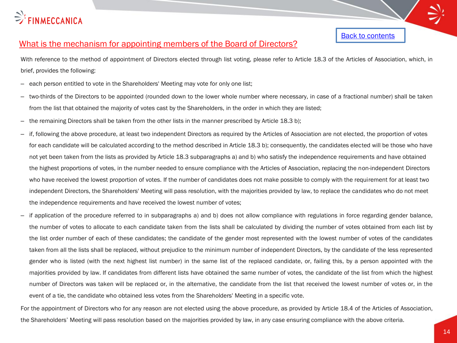

# What is the mechanism for appointing members of the Board of Directors?

With reference to the method of appointment of Directors elected through list voting, please refer to Article 18.3 of the Articles of Association, which, in brief, provides the following:

- each person entitled to vote in the Shareholders' Meeting may vote for only one list;
- two-thirds of the Directors to be appointed (rounded down to the lower whole number where necessary, in case of a fractional number) shall be taken from the list that obtained the majority of votes cast by the Shareholders, in the order in which they are listed;
- the remaining Directors shall be taken from the other lists in the manner prescribed by Article 18.3 b);
- if, following the above procedure, at least two independent Directors as required by the Articles of Association are not elected, the proportion of votes for each candidate will be calculated according to the method described in Article 18.3 b); consequently, the candidates elected will be those who have not yet been taken from the lists as provided by Article 18.3 subparagraphs a) and b) who satisfy the independence requirements and have obtained the highest proportions of votes, in the number needed to ensure compliance with the Articles of Association, replacing the non-independent Directors who have received the lowest proportion of votes. If the number of candidates does not make possible to comply with the requirement for at least two independent Directors, the Shareholders' Meeting will pass resolution, with the majorities provided by law, to replace the candidates who do not meet the independence requirements and have received the lowest number of votes;
- if application of the procedure referred to in subparagraphs a) and b) does not allow compliance with regulations in force regarding gender balance, the number of votes to allocate to each candidate taken from the lists shall be calculated by dividing the number of votes obtained from each list by the list order number of each of these candidates; the candidate of the gender most represented with the lowest number of votes of the candidates taken from all the lists shall be replaced, without prejudice to the minimum number of independent Directors, by the candidate of the less represented gender who is listed (with the next highest list number) in the same list of the replaced candidate, or, failing this, by a person appointed with the majorities provided by law. If candidates from different lists have obtained the same number of votes, the candidate of the list from which the highest number of Directors was taken will be replaced or, in the alternative, the candidate from the list that received the lowest number of votes or, in the event of a tie, the candidate who obtained less votes from the Shareholders' Meeting in a specific vote.

<span id="page-13-0"></span>For the appointment of Directors who for any reason are not elected using the above procedure, as provided by Article 18.4 of the Articles of Association, the Shareholders' Meeting will pass resolution based on the majorities provided by law, in any case ensuring compliance with the above criteria.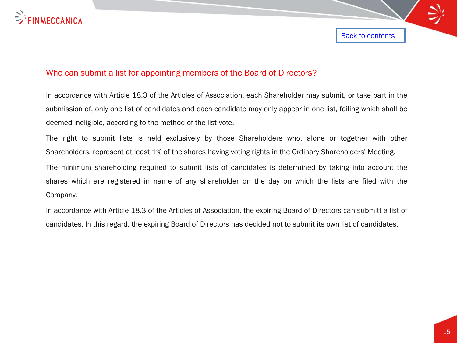

# Who can submit a list for appointing members of the Board of Directors?

In accordance with Article 18.3 of the Articles of Association, each Shareholder may submit, or take part in the submission of, only one list of candidates and each candidate may only appear in one list, failing which shall be deemed ineligible, according to the method of the list vote.

The right to submit lists is held exclusively by those Shareholders who, alone or together with other Shareholders, represent at least 1% of the shares having voting rights in the Ordinary Shareholders' Meeting.

The minimum shareholding required to submit lists of candidates is determined by taking into account the shares which are registered in name of any shareholder on the day on which the lists are filed with the Company.

<span id="page-14-0"></span>In accordance with Article 18.3 of the Articles of Association, the expiring Board of Directors can submitt a list of candidates. In this regard, the expiring Board of Directors has decided not to submit its own list of candidates.

Back to contents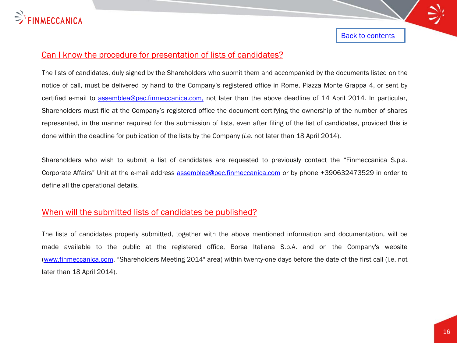

## Can I know the procedure for presentation of lists of candidates?

The lists of candidates, duly signed by the Shareholders who submit them and accompanied by the documents listed on the notice of call, must be delivered by hand to the Company's registered office in Rome, Piazza Monte Grappa 4, or sent by certified e-mail to [assemblea@pec.finmeccanica.com,](mailto:assemblea@pec.finmeccanica.com) not later than the above deadline of 14 April 2014. In particular, Shareholders must file at the Company's registered office the document certifying the ownership of the number of shares represented, in the manner required for the submission of lists, even after filing of the list of candidates, provided this is done within the deadline for publication of the lists by the Company (*i.e.* not later than 18 April 2014).

Shareholders who wish to submit a list of candidates are requested to previously contact the "Finmeccanica S.p.a. Corporate Affairs" Unit at the e-mail address [assemblea@pec.finmeccanica.com](mailto:assemblea@pec.finmeccanica.com) or by phone +390632473529 in order to define all the operational details.

#### When will the submitted lists of candidates be published?

<span id="page-15-0"></span>The lists of candidates properly submitted, together with the above mentioned information and documentation, will be made available to the public at the registered office, Borsa Italiana S.p.A. and on the Company's website [\(www.finmeccanica.com,](http://www.finmeccanica.com/) "Shareholders Meeting 2014" area) within twenty-one days before the date of the first call (i.e. not later than 18 April 2014).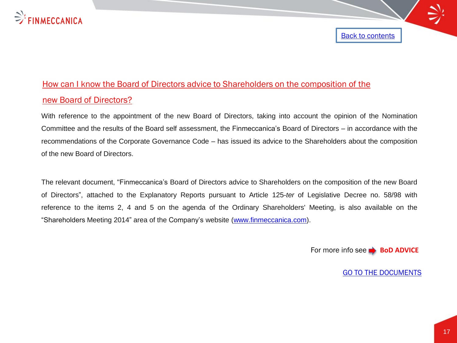

# How can I know the Board of Directors advice to Shareholders on the composition of the new Board of Directors?

With reference to the appointment of the new Board of Directors, taking into account the opinion of the Nomination Committee and the results of the Board self assessment, the Finmeccanica's Board of Directors – in accordance with the recommendations of the Corporate Governance Code – has issued its advice to the Shareholders about the composition of the new Board of Directors.

<span id="page-16-0"></span>The relevant document, "Finmeccanica's Board of Directors advice to Shareholders on the composition of the new Board of Directors", attached to the Explanatory Reports pursuant to Article 125-*ter* of Legislative Decree no. 58/98 with reference to the items 2, 4 and 5 on the agenda of the Ordinary Shareholders' Meeting, is also available on the "Shareholders Meeting 2014" area of the Company's website ([www.finmeccanica.com](http://www.finmeccanica.com/)).

For more info see **BoD ADVICE** 

[Back to contents](#page-2-0)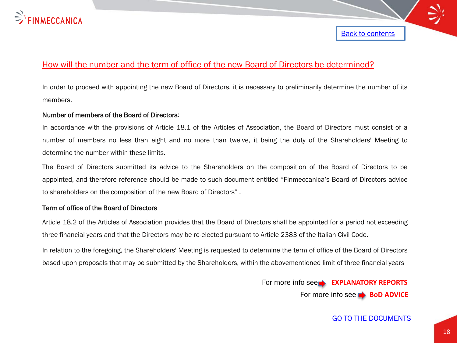

# How will the number and the term of office of the new Board of Directors be determined?

In order to proceed with appointing the new Board of Directors, it is necessary to preliminarily determine the number of its members.

#### Number of members of the Board of Directors:

In accordance with the provisions of Article 18.1 of the Articles of Association, the Board of Directors must consist of a number of members no less than eight and no more than twelve, it being the duty of the Shareholders' Meeting to determine the number within these limits.

The Board of Directors submitted its advice to the Shareholders on the composition of the Board of Directors to be appointed, and therefore reference should be made to such document entitled "Finmeccanica's Board of Directors advice to shareholders on the composition of the new Board of Directors" .

#### Term of office of the Board of Directors

Article 18.2 of the Articles of Association provides that the Board of Directors shall be appointed for a period not exceeding three financial years and that the Directors may be re-elected pursuant to Article 2383 of the Italian Civil Code.

<span id="page-17-0"></span>In relation to the foregoing, the Shareholders' Meeting is requested to determine the term of office of the Board of Directors based upon proposals that may be submitted by the Shareholders, within the abovementioned limit of three financial years

> For more info see **EXPLANATORY REPORT[S](http://www.finmeccanica.it/Corporate/IT/Corporate/Investor_Relations/Assemblea_Azionisti/index.sdo)** For more info see **BoD** ADVIC[E](http://www.finmeccanica.it/IT/Common/files/Corporate/Investor_Relations_Corporate_Governace/Assemblea/130227_Modulo_di_delega_semplice_ITA_.pdf)

#### [GO TO THE DOCUMENTS](http://www.finmeccanica.com/en/governance-finmeccanica-1/assemblea-azionisti-1/assemblea-2014-meeting?WT.ac=Shareholders Meeting 2014)

[Back to contents](#page-2-0)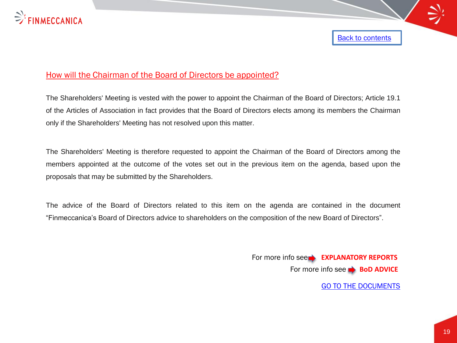

## How will the Chairman of the Board of Directors be appointed?

The Shareholders' Meeting is vested with the power to appoint the Chairman of the Board of Directors; Article 19.1 of the Articles of Association in fact provides that the Board of Directors elects among its members the Chairman only if the Shareholders' Meeting has not resolved upon this matter.

The Shareholders' Meeting is therefore requested to appoint the Chairman of the Board of Directors among the members appointed at the outcome of the votes set out in the previous item on the agenda, based upon the proposals that may be submitted by the Shareholders.

<span id="page-18-0"></span>The advice of the Board of Directors related to this item on the agenda are contained in the document "Finmeccanica's Board of Directors advice to shareholders on the composition of the new Board of Directors".

> [GO TO THE DOCUMENTS](http://www.finmeccanica.com/en/governance-finmeccanica-1/assemblea-azionisti-1/assemblea-2014-meeting?WT.ac=Shareholders Meeting 2014) For more info see **EXPLANATORY REPORT[S](http://www.finmeccanica.it/Corporate/IT/Corporate/Investor_Relations/Assemblea_Azionisti/index.sdo)** For more info see **BoD ADVIC[E](http://www.finmeccanica.it/Corporate/IT/Corporate/Investor_Relations/Assemblea_Azionisti/index.sdo)**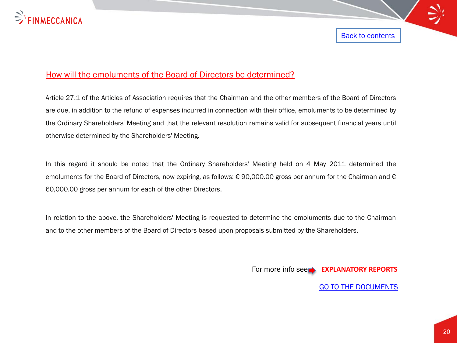

## How will the emoluments of the Board of Directors be determined?

Article 27.1 of the Articles of Association requires that the Chairman and the other members of the Board of Directors are due, in addition to the refund of expenses incurred in connection with their office, emoluments to be determined by the Ordinary Shareholders' Meeting and that the relevant resolution remains valid for subsequent financial years until otherwise determined by the Shareholders' Meeting.

In this regard it should be noted that the Ordinary Shareholders' Meeting held on 4 May 2011 determined the emoluments for the Board of Directors, now expiring, as follows: € 90,000.00 gross per annum for the Chairman and € 60,000.00 gross per annum for each of the other Directors.

<span id="page-19-0"></span>In relation to the above, the Shareholders' Meeting is requested to determine the emoluments due to the Chairman and to the other members of the Board of Directors based upon proposals submitted by the Shareholders.

For more info see **EXPLANATORY REPORT[S](http://www.finmeccanica.it/Corporate/IT/Corporate/Investor_Relations/Assemblea_Azionisti/index.sdo)**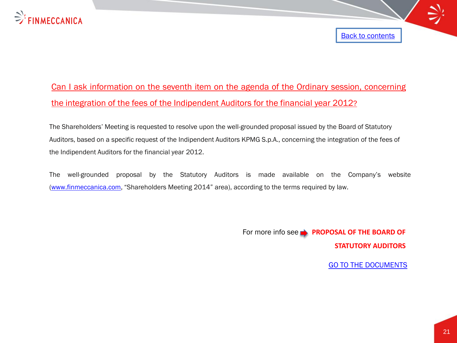

# Can I ask information on the seventh item on the agenda of the Ordinary session, concerning the integration of the fees of the Indipendent Auditors for the financial year 2012?

The Shareholders' Meeting is requested to resolve upon the well-grounded proposal issued by the Board of Statutory Auditors, based on a specific request of the Indipendent Auditors KPMG S.p.A., concerning the integration of the fees of the Indipendent Auditors for the financial year 2012.

<span id="page-20-0"></span>The well-grounded proposal by the Statutory Auditors is made available on the Company's website ([www.finmeccanica.com](http://www.finmeccanica.com/), "Shareholders Meeting 2014" area), according to the terms required by law.

> For more info see **PROPOSAL OF THE BOARD OF STATUTORY AUDITOR[S](http://www.finmeccanica.it/Corporate/IT/Corporate/Investor_Relations/Assemblea_Azionisti/index.sdo)**

> > [GO TO THE DOCUMENTS](http://www.finmeccanica.com/en/governance-finmeccanica-1/assemblea-azionisti-1/assemblea-2014-meeting?WT.ac=Shareholders Meeting 2014)

[Back to contents](#page-2-0)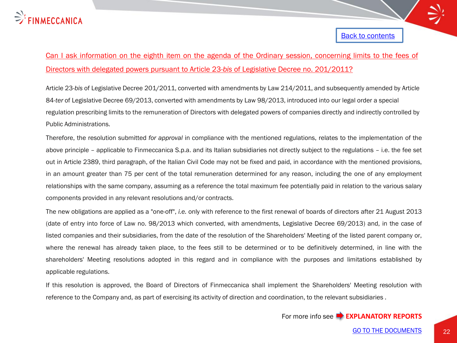

# Can I ask information on the eighth item on the agenda of the Ordinary session, concerning limits to the fees of Directors with delegated powers pursuant to Article 23-*bis* of Legislative Decree no. 201/2011?

Article 23-*bis* of Legislative Decree 201/2011, converted with amendments by Law 214/2011, and subsequently amended by Article 84-*ter* of Legislative Decree 69/2013, converted with amendments by Law 98/2013, introduced into our legal order a special regulation prescribing limits to the remuneration of Directors with delegated powers of companies directly and indirectly controlled by Public Administrations.

Therefore, the resolution submitted *for approval* in compliance with the mentioned regulations, relates to the implementation of the above principle – applicable to Finmeccanica S.p.a. and its Italian subsidiaries not directly subject to the regulations – i.e. the fee set out in Article 2389, third paragraph, of the Italian Civil Code may not be fixed and paid, in accordance with the mentioned provisions, in an amount greater than 75 per cent of the total remuneration determined for any reason, including the one of any employment relationships with the same company, assuming as a reference the total maximum fee potentially paid in relation to the various salary components provided in any relevant resolutions and/or contracts.

The new obligations are applied as a "one-off", *i.e.* only with reference to the first renewal of boards of directors after 21 August 2013 (date of entry into force of Law no. 98/2013 which converted, with amendments, Legislative Decree 69/2013) and, in the case of listed companies and their subsidiaries, from the date of the resolution of the Shareholders' Meeting of the listed parent company or, where the renewal has already taken place, to the fees still to be determined or to be definitively determined, in line with the shareholders' Meeting resolutions adopted in this regard and in compliance with the purposes and limitations established by applicable regulations.

<span id="page-21-0"></span>If this resolution is approved, the Board of Directors of Finmeccanica shall implement the Shareholders' Meeting resolution with reference to the Company and, as part of exercising its activity of direction and coordination, to the relevant subsidiaries .

For more info see **EXPLANATORY REPORTS**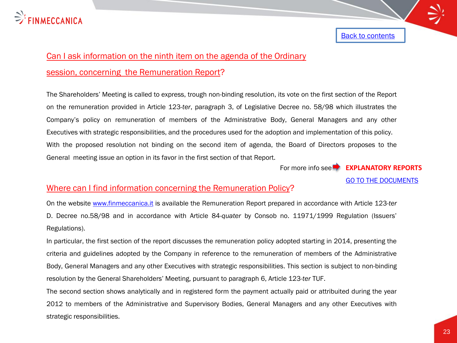

# Can I ask information on the ninth item on the agenda of the Ordinary

### session, concerning the Remuneration Report?

The Shareholders' Meeting is called to express, trough non-binding resolution, its vote on the first section of the Report on the remuneration provided in Article 123-*ter*, paragraph 3, of Legislative Decree no. 58/98 which illustrates the Company's policy on remuneration of members of the Administrative Body, General Managers and any other Executives with strategic responsibilities, and the procedures used for the adoption and implementation of this policy. With the proposed resolution not binding on the second item of agenda, the Board of Directors proposes to the General meeting issue an option in its favor in the first section of that Report.

For more info see **EXPLANATORY REPORTS** 

[GO TO THE DOCUMENTS](http://www.finmeccanica.com/en/governance-finmeccanica-1/assemblea-azionisti-1/assemblea-2014-meeting?WT.ac=Shareholders Meeting 2014)

## Where can I find information concerning the Remuneration Policy?

On the website [www.finmeccanica.it](http://www.finmeccanica.it/) is available the Remuneration Report prepared in accordance with Article 123-*ter* D. Decree no.58/98 and in accordance with Article 84-*quater* by Consob no. 11971/1999 Regulation (Issuers' Regulations).

In particular, the first section of the report discusses the remuneration policy adopted starting in 2014, presenting the criteria and guidelines adopted by the Company in reference to the remuneration of members of the Administrative Body, General Managers and any other Executives with strategic responsibilities. This section is subject to non-binding resolution by the General Shareholders' Meeting, pursuant to paragraph 6, Article 123*-ter* TUF.

<span id="page-22-0"></span>The second section shows analytically and in registered form the payment actually paid or attribuited during the year 2012 to members of the Administrative and Supervisory Bodies, General Managers and any other Executives with strategic responsibilities.